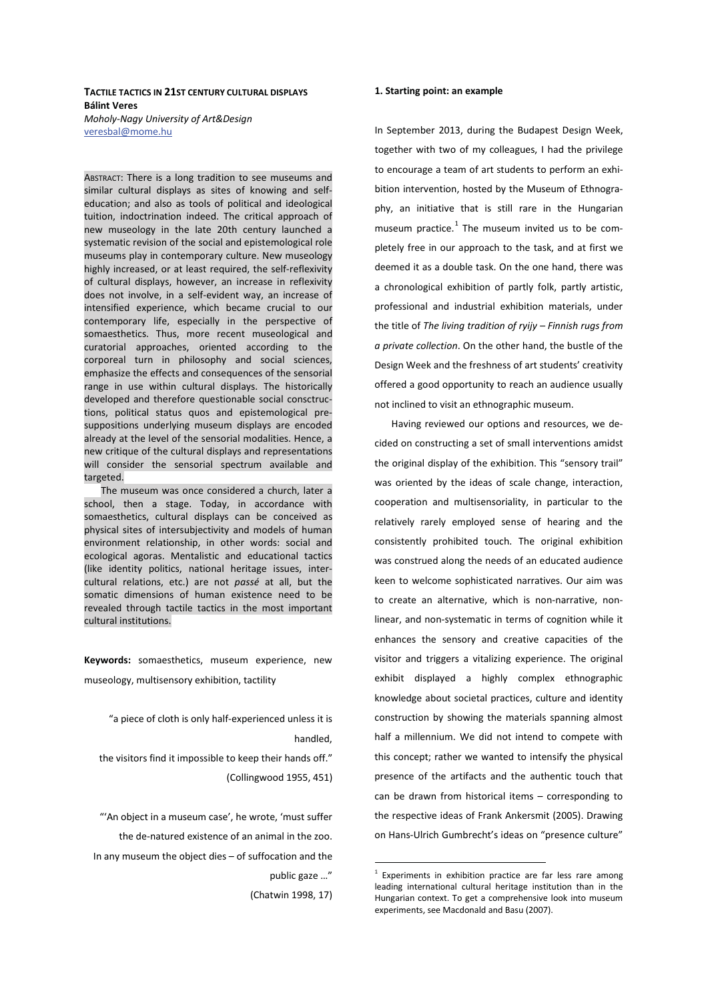### **TACTILE TACTICS IN 21ST CENTURY CULTURAL DISPLAYS Rálint Veres**

*Moholy-Nagy University of Art&Design*  veresbal@mome.hu

ABSTRACT: There is a long tradition to see museums and similar cultural displays as sites of knowing and selfeducation; and also as tools of political and ideological tuition, indoctrination indeed. The critical approach of new museology in the late 20th century launched a systematic revision of the social and epistemological role museums play in contemporary culture. New museology highly increased, or at least required, the self-reflexivity of cultural displays, however, an increase in reflexivity does not involve, in a self-evident way, an increase of intensified experience, which became crucial to our contemporary life, especially in the perspective of somaesthetics. Thus, more recent museological and curatorial approaches, oriented according to the corporeal turn in philosophy and social sciences, emphasize the effects and consequences of the sensorial range in use within cultural displays. The historically developed and therefore questionable social consctructions, political status quos and epistemological presuppositions underlying museum displays are encoded already at the level of the sensorial modalities. Hence, a new critique of the cultural displays and representations will consider the sensorial spectrum available and targeted.

The museum was once considered a church, later a school, then a stage. Today, in accordance with somaesthetics, cultural displays can be conceived as physical sites of intersubjectivity and models of human environment relationship, in other words: social and ecological agoras. Mentalistic and educational tactics (like identity politics, national heritage issues, intercultural relations, etc.) are not *passé* at all, but the somatic dimensions of human existence need to be revealed through tactile tactics in the most important cultural institutions.

Keywords: somaesthetics, museum experience, new museology, multisensory exhibition, tactility

"a piece of cloth is only half-experienced unless it is handled,

the visitors find it impossible to keep their hands off." (Collingwood 1955, 451)

"'An object in a museum case', he wrote, 'must suffer the de-natured existence of an animal in the zoo. In any museum the object dies – of suffocation and the public gaze …" (Chatwin 1998, 17)

**1. Starting point: an example** 

museum practice.<sup>1</sup> The museum invited us to be completely free in our approach to the task, and at first we deemed it as a double task. On the one hand, there was a chronological exhibition of partly folk, partly artistic, professional and industrial exhibition materials, under the title of *The living tradition of ryijy – Finnish rugs from a private collection*. On the other hand, the bustle of the Design Week and the freshness of art students' creativity offered a good opportunity to reach an audience usually not inclined to visit an ethnographic museum.

In September 2013, during the Budapest Design Week, together with two of my colleagues, I had the privilege to encourage a team of art students to perform an exhibition intervention, hosted by the Museum of Ethnography, an initiative that is still rare in the Hungarian

Having reviewed our options and resources, we decided on constructing a set of small interventions amidst the original display of the exhibition. This "sensory trail" was oriented by the ideas of scale change, interaction, cooperation and multisensoriality, in particular to the relatively rarely employed sense of hearing and the consistently prohibited touch. The original exhibition was construed along the needs of an educated audience keen to welcome sophisticated narratives. Our aim was to create an alternative, which is non-narrative, nonlinear, and non-systematic in terms of cognition while it enhances the sensory and creative capacities of the visitor and triggers a vitalizing experience. The original exhibit displayed a highly complex ethnographic knowledge about societal practices, culture and identity construction by showing the materials spanning almost half a millennium. We did not intend to compete with this concept; rather we wanted to intensify the physical presence of the artifacts and the authentic touch that can be drawn from historical items – corresponding to the respective ideas of Frank Ankersmit (2005). Drawing on Hans-Ulrich Gumbrecht's ideas on "presence culture"

<sup>&</sup>lt;sup>1</sup> Experiments in exhibition practice are far less rare among leading international cultural heritage institution than in the Hungarian context. To get a comprehensive look into museum experiments, see Macdonald and Basu (2007).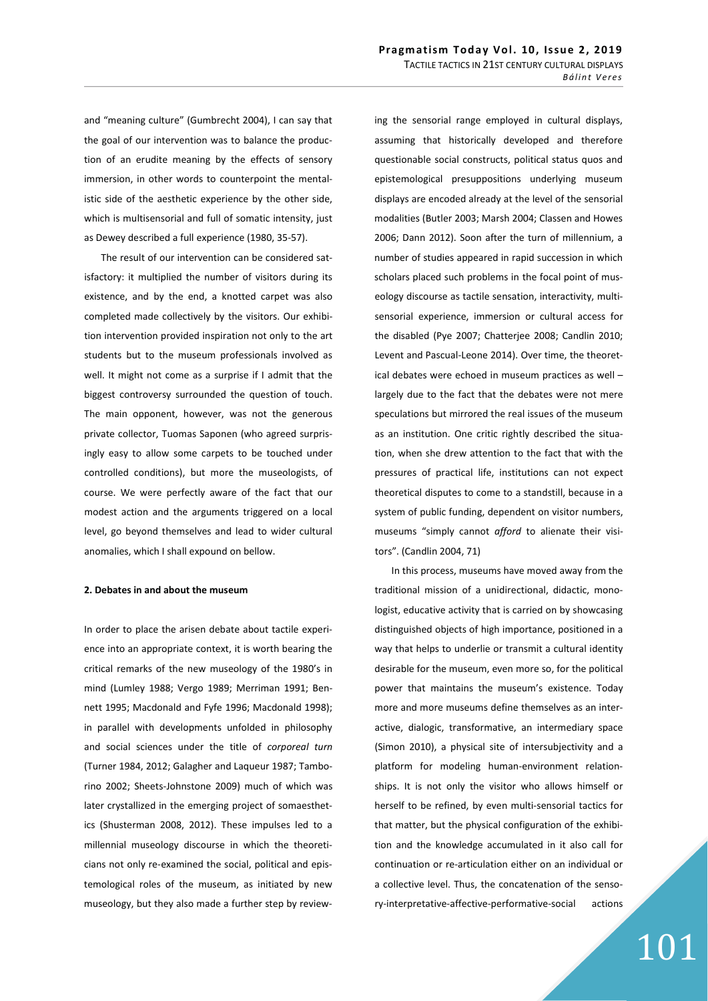and "meaning culture" (Gumbrecht 2004), I can say that the goal of our intervention was to balance the production of an erudite meaning by the effects of sensory immersion, in other words to counterpoint the mentalistic side of the aesthetic experience by the other side, which is multisensorial and full of somatic intensity, just as Dewey described a full experience (1980, 35-57).

The result of our intervention can be considered satisfactory: it multiplied the number of visitors during its existence, and by the end, a knotted carpet was also completed made collectively by the visitors. Our exhibition intervention provided inspiration not only to the art students but to the museum professionals involved as well. It might not come as a surprise if I admit that the biggest controversy surrounded the question of touch. The main opponent, however, was not the generous private collector, Tuomas Saponen (who agreed surprisingly easy to allow some carpets to be touched under controlled conditions), but more the museologists, of course. We were perfectly aware of the fact that our modest action and the arguments triggered on a local level, go beyond themselves and lead to wider cultural anomalies, which I shall expound on bellow.

### **2. Debates in and about the museum**

In order to place the arisen debate about tactile experience into an appropriate context, it is worth bearing the critical remarks of the new museology of the 1980's in mind (Lumley 1988; Vergo 1989; Merriman 1991; Bennett 1995; Macdonald and Fyfe 1996; Macdonald 1998); in parallel with developments unfolded in philosophy and social sciences under the title of *corporeal turn* (Turner 1984, 2012; Galagher and Laqueur 1987; Tamborino 2002; Sheets-Johnstone 2009) much of which was later crystallized in the emerging project of somaesthetics (Shusterman 2008, 2012). These impulses led to a millennial museology discourse in which the theoreticians not only re-examined the social, political and epistemological roles of the museum, as initiated by new museology, but they also made a further step by review-

ing the sensorial range employed in cultural displays, assuming that historically developed and therefore questionable social constructs, political status quos and epistemological presuppositions underlying museum displays are encoded already at the level of the sensorial modalities (Butler 2003; Marsh 2004; Classen and Howes 2006; Dann 2012). Soon after the turn of millennium, a number of studies appeared in rapid succession in which scholars placed such problems in the focal point of museology discourse as tactile sensation, interactivity, multisensorial experience, immersion or cultural access for the disabled (Pye 2007; Chatterjee 2008; Candlin 2010; Levent and Pascual-Leone 2014). Over time, the theoretical debates were echoed in museum practices as well – largely due to the fact that the debates were not mere speculations but mirrored the real issues of the museum as an institution. One critic rightly described the situation, when she drew attention to the fact that with the pressures of practical life, institutions can not expect theoretical disputes to come to a standstill, because in a system of public funding, dependent on visitor numbers, museums "simply cannot *afford* to alienate their visitors". (Candlin 2004, 71)

In this process, museums have moved away from the traditional mission of a unidirectional, didactic, monologist, educative activity that is carried on by showcasing distinguished objects of high importance, positioned in a way that helps to underlie or transmit a cultural identity desirable for the museum, even more so, for the political power that maintains the museum's existence. Today more and more museums define themselves as an interactive, dialogic, transformative, an intermediary space (Simon 2010), a physical site of intersubjectivity and a platform for modeling human-environment relationships. It is not only the visitor who allows himself or herself to be refined, by even multi-sensorial tactics for that matter, but the physical configuration of the exhibition and the knowledge accumulated in it also call for continuation or re-articulation either on an individual or a collective level. Thus, the concatenation of the sensory-interpretative-affective-performative-social actions

# 101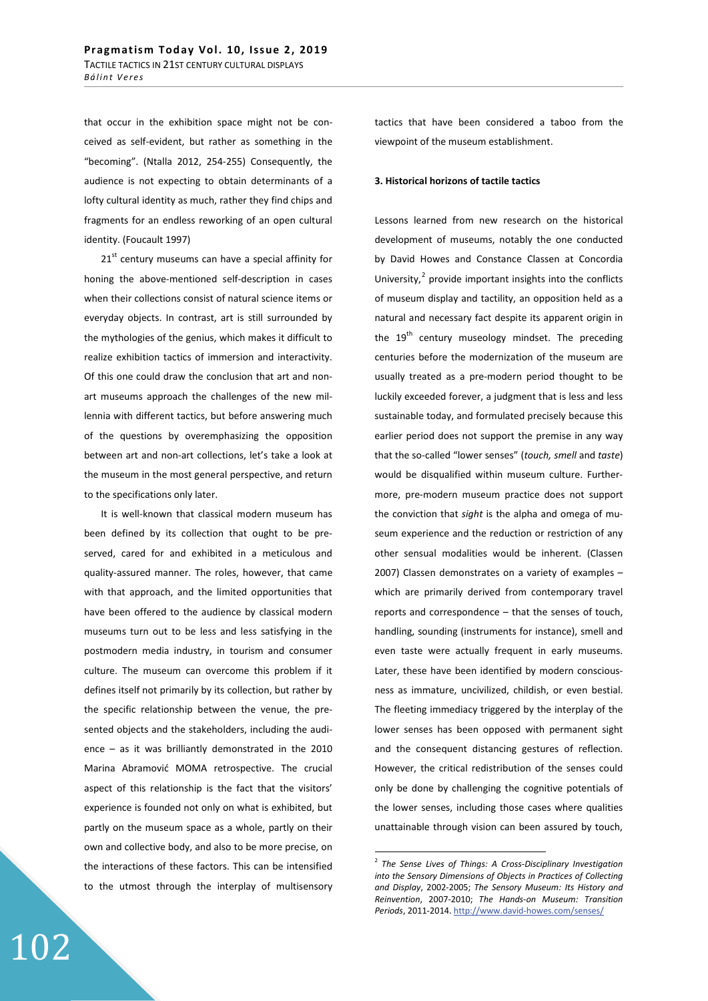that occur in the exhibition space might not be conceived as self-evident, but rather as something in the "becoming". (Ntalla 2012, 254-255) Consequently, the audience is not expecting to obtain determinants of a lofty cultural identity as much, rather they find chips and fragments for an endless reworking of an open cultural identity. (Foucault 1997)

 $21<sup>st</sup>$  century museums can have a special affinity for honing the above-mentioned self-description in cases when their collections consist of natural science items or everyday objects. In contrast, art is still surrounded by the mythologies of the genius, which makes it difficult to realize exhibition tactics of immersion and interactivity. Of this one could draw the conclusion that art and nonart museums approach the challenges of the new millennia with different tactics, but before answering much of the questions by overemphasizing the opposition between art and non-art collections, let's take a look at the museum in the most general perspective, and return to the specifications only later.

It is well-known that classical modern museum has been defined by its collection that ought to be preserved, cared for and exhibited in a meticulous and quality-assured manner. The roles, however, that came with that approach, and the limited opportunities that have been offered to the audience by classical modern museums turn out to be less and less satisfying in the postmodern media industry, in tourism and consumer culture. The museum can overcome this problem if it defines itself not primarily by its collection, but rather by the specific relationship between the venue, the presented objects and the stakeholders, including the audience – as it was brilliantly demonstrated in the 2010 Marina Abramović MOMA retrospective. The crucial aspect of this relationship is the fact that the visitors' experience is founded not only on what is exhibited, but partly on the museum space as a whole, partly on their own and collective body, and also to be more precise, on the interactions of these factors. This can be intensified to the utmost through the interplay of multisensory

tactics that have been considered a taboo from the viewpoint of the museum establishment.

### **3. Historical horizons of tactile tactics**

Lessons learned from new research on the historical development of museums, notably the one conducted by David Howes and Constance Classen at Concordia University, $2$  provide important insights into the conflicts of museum display and tactility, an opposition held as a natural and necessary fact despite its apparent origin in the 19<sup>th</sup> century museology mindset. The preceding centuries before the modernization of the museum are usually treated as a pre-modern period thought to be luckily exceeded forever, a judgment that is less and less sustainable today, and formulated precisely because this earlier period does not support the premise in any way that the so-called "lower senses" (*touch, smell* and *taste*) would be disqualified within museum culture. Furthermore, pre-modern museum practice does not support the conviction that *sight* is the alpha and omega of museum experience and the reduction or restriction of any other sensual modalities would be inherent. (Classen 2007) Classen demonstrates on a variety of examples – which are primarily derived from contemporary travel reports and correspondence – that the senses of touch, handling, sounding (instruments for instance), smell and even taste were actually frequent in early museums. Later, these have been identified by modern consciousness as immature, uncivilized, childish, or even bestial. The fleeting immediacy triggered by the interplay of the lower senses has been opposed with permanent sight and the consequent distancing gestures of reflection. However, the critical redistribution of the senses could only be done by challenging the cognitive potentials of the lower senses, including those cases where qualities unattainable through vision can been assured by touch,

<sup>2</sup> *The Sense Lives of Things: A Cross-Disciplinary Investigation into the Sensory Dimensions of Objects in Practices of Collecting and Display*, 2002-2005; *The Sensory Museum: Its History and Reinvention*, 2007-2010; *The Hands-on Museum: Transition Periods*, 2011-2014. http://www.david-howes.com/senses/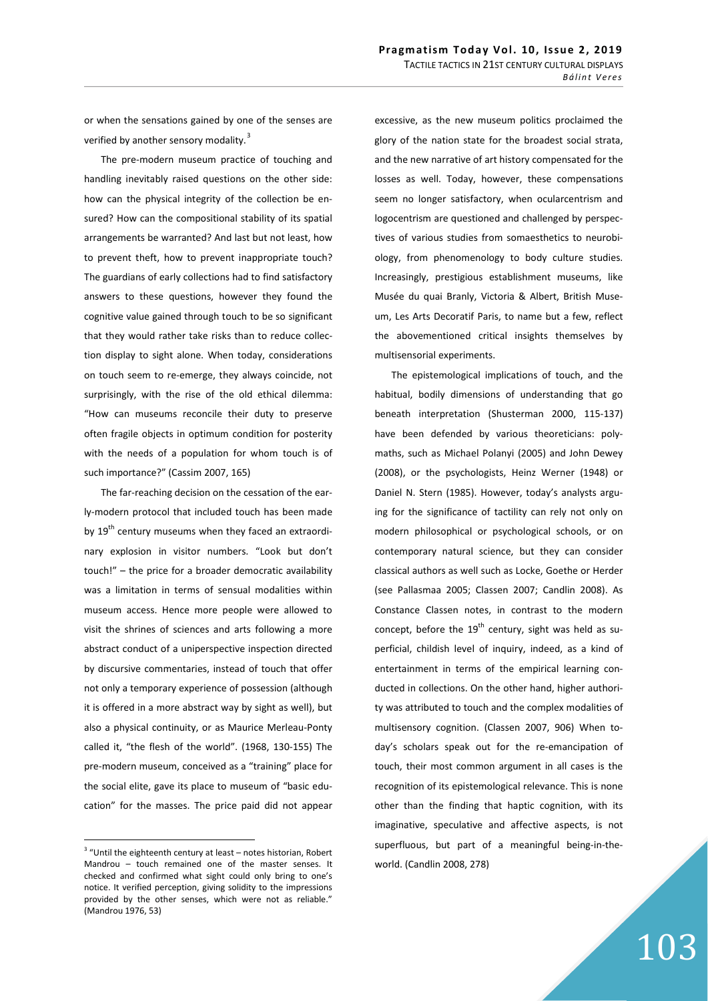or when the sensations gained by one of the senses are verified by another sensory modality.<sup>3</sup>

The pre-modern museum practice of touching and handling inevitably raised questions on the other side: how can the physical integrity of the collection be ensured? How can the compositional stability of its spatial arrangements be warranted? And last but not least, how to prevent theft, how to prevent inappropriate touch? The guardians of early collections had to find satisfactory answers to these questions, however they found the cognitive value gained through touch to be so significant that they would rather take risks than to reduce collection display to sight alone. When today, considerations on touch seem to re-emerge, they always coincide, not surprisingly, with the rise of the old ethical dilemma: "How can museums reconcile their duty to preserve often fragile objects in optimum condition for posterity with the needs of a population for whom touch is of such importance?" (Cassim 2007, 165)

The far-reaching decision on the cessation of the early-modern protocol that included touch has been made by  $19<sup>th</sup>$  century museums when they faced an extraordinary explosion in visitor numbers. "Look but don't touch!" – the price for a broader democratic availability was a limitation in terms of sensual modalities within museum access. Hence more people were allowed to visit the shrines of sciences and arts following a more abstract conduct of a uniperspective inspection directed by discursive commentaries, instead of touch that offer not only a temporary experience of possession (although it is offered in a more abstract way by sight as well), but also a physical continuity, or as Maurice Merleau-Ponty called it, "the flesh of the world". (1968, 130-155) The pre-modern museum, conceived as a "training" place for the social elite, gave its place to museum of "basic education" for the masses. The price paid did not appear

excessive, as the new museum politics proclaimed the glory of the nation state for the broadest social strata, and the new narrative of art history compensated for the losses as well. Today, however, these compensations seem no longer satisfactory, when ocularcentrism and logocentrism are questioned and challenged by perspectives of various studies from somaesthetics to neurobiology, from phenomenology to body culture studies. Increasingly, prestigious establishment museums, like Musée du quai Branly, Victoria & Albert, British Museum, Les Arts Decoratif Paris, to name but a few, reflect the abovementioned critical insights themselves by multisensorial experiments.

The epistemological implications of touch, and the habitual, bodily dimensions of understanding that go beneath interpretation (Shusterman 2000, 115-137) have been defended by various theoreticians: polymaths, such as Michael Polanyi (2005) and John Dewey (2008), or the psychologists, Heinz Werner (1948) or Daniel N. Stern (1985). However, today's analysts arguing for the significance of tactility can rely not only on modern philosophical or psychological schools, or on contemporary natural science, but they can consider classical authors as well such as Locke, Goethe or Herder (see Pallasmaa 2005; Classen 2007; Candlin 2008). As Constance Classen notes, in contrast to the modern concept, before the  $19<sup>th</sup>$  century, sight was held as superficial, childish level of inquiry, indeed, as a kind of entertainment in terms of the empirical learning conducted in collections. On the other hand, higher authority was attributed to touch and the complex modalities of multisensory cognition. (Classen 2007, 906) When today's scholars speak out for the re-emancipation of touch, their most common argument in all cases is the recognition of its epistemological relevance. This is none other than the finding that haptic cognition, with its imaginative, speculative and affective aspects, is not superfluous, but part of a meaningful being-in-theworld. (Candlin 2008, 278)

 $^3$  "Until the eighteenth century at least – notes historian, Robert Mandrou – touch remained one of the master senses. It checked and confirmed what sight could only bring to one's notice. It verified perception, giving solidity to the impressions provided by the other senses, which were not as reliable." (Mandrou 1976, 53)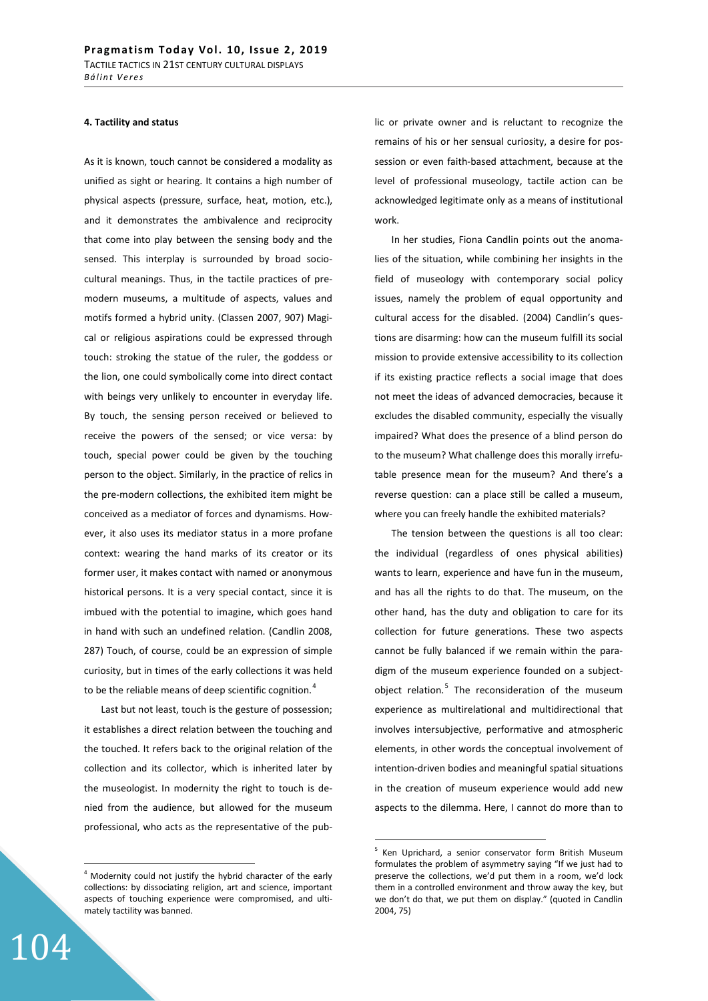#### **4. Tactility and status**

As it is known, touch cannot be considered a modality as unified as sight or hearing. It contains a high number of physical aspects (pressure, surface, heat, motion, etc.), and it demonstrates the ambivalence and reciprocity that come into play between the sensing body and the sensed. This interplay is surrounded by broad sociocultural meanings. Thus, in the tactile practices of premodern museums, a multitude of aspects, values and motifs formed a hybrid unity. (Classen 2007, 907) Magical or religious aspirations could be expressed through touch: stroking the statue of the ruler, the goddess or the lion, one could symbolically come into direct contact with beings very unlikely to encounter in everyday life. By touch, the sensing person received or believed to receive the powers of the sensed; or vice versa: by touch, special power could be given by the touching person to the object. Similarly, in the practice of relics in the pre-modern collections, the exhibited item might be conceived as a mediator of forces and dynamisms. However, it also uses its mediator status in a more profane context: wearing the hand marks of its creator or its former user, it makes contact with named or anonymous historical persons. It is a very special contact, since it is imbued with the potential to imagine, which goes hand in hand with such an undefined relation. (Candlin 2008, 287) Touch, of course, could be an expression of simple curiosity, but in times of the early collections it was held to be the reliable means of deep scientific cognition.<sup>4</sup>

Last but not least, touch is the gesture of possession; it establishes a direct relation between the touching and the touched. It refers back to the original relation of the collection and its collector, which is inherited later by the museologist. In modernity the right to touch is denied from the audience, but allowed for the museum professional, who acts as the representative of the pub-

104

lic or private owner and is reluctant to recognize the remains of his or her sensual curiosity, a desire for possession or even faith-based attachment, because at the level of professional museology, tactile action can be acknowledged legitimate only as a means of institutional work.

In her studies, Fiona Candlin points out the anomalies of the situation, while combining her insights in the field of museology with contemporary social policy issues, namely the problem of equal opportunity and cultural access for the disabled. (2004) Candlin's questions are disarming: how can the museum fulfill its social mission to provide extensive accessibility to its collection if its existing practice reflects a social image that does not meet the ideas of advanced democracies, because it excludes the disabled community, especially the visually impaired? What does the presence of a blind person do to the museum? What challenge does this morally irrefutable presence mean for the museum? And there's a reverse question: can a place still be called a museum, where you can freely handle the exhibited materials?

The tension between the questions is all too clear: the individual (regardless of ones physical abilities) wants to learn, experience and have fun in the museum, and has all the rights to do that. The museum, on the other hand, has the duty and obligation to care for its collection for future generations. These two aspects cannot be fully balanced if we remain within the paradigm of the museum experience founded on a subjectobject relation.<sup>5</sup> The reconsideration of the museum experience as multirelational and multidirectional that involves intersubjective, performative and atmospheric elements, in other words the conceptual involvement of intention-driven bodies and meaningful spatial situations in the creation of museum experience would add new aspects to the dilemma. Here, I cannot do more than to

<sup>&</sup>lt;sup>4</sup> Modernity could not justify the hybrid character of the early collections: by dissociating religion, art and science, important aspects of touching experience were compromised, and ultimately tactility was banned.

<sup>&</sup>lt;sup>5</sup> Ken Uprichard, a senior conservator form British Museum formulates the problem of asymmetry saying "If we just had to preserve the collections, we'd put them in a room, we'd lock them in a controlled environment and throw away the key, but we don't do that, we put them on display." (quoted in Candlin 2004, 75)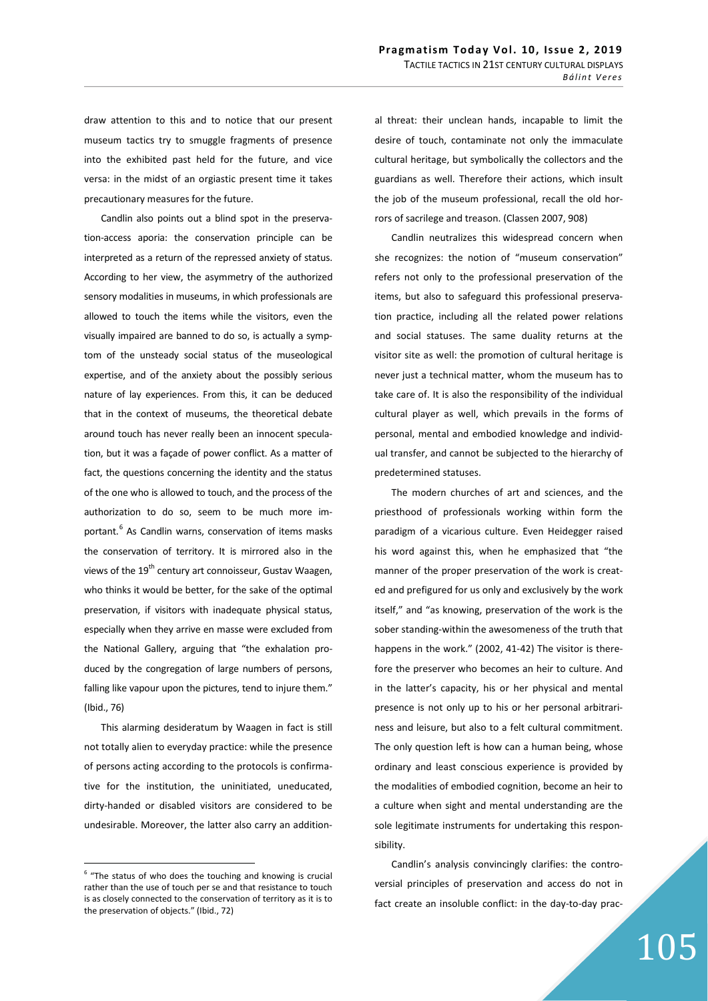draw attention to this and to notice that our present museum tactics try to smuggle fragments of presence into the exhibited past held for the future, and vice versa: in the midst of an orgiastic present time it takes precautionary measures for the future.

Candlin also points out a blind spot in the preservation-access aporia: the conservation principle can be interpreted as a return of the repressed anxiety of status. According to her view, the asymmetry of the authorized sensory modalities in museums, in which professionals are allowed to touch the items while the visitors, even the visually impaired are banned to do so, is actually a symptom of the unsteady social status of the museological expertise, and of the anxiety about the possibly serious nature of lay experiences. From this, it can be deduced that in the context of museums, the theoretical debate around touch has never really been an innocent speculation, but it was a façade of power conflict. As a matter of fact, the questions concerning the identity and the status of the one who is allowed to touch, and the process of the authorization to do so, seem to be much more important.<sup>6</sup> As Candlin warns, conservation of items masks the conservation of territory. It is mirrored also in the views of the 19<sup>th</sup> century art connoisseur, Gustav Waagen, who thinks it would be better, for the sake of the optimal preservation, if visitors with inadequate physical status, especially when they arrive en masse were excluded from the National Gallery, arguing that "the exhalation produced by the congregation of large numbers of persons, falling like vapour upon the pictures, tend to injure them." (Ibid., 76)

This alarming desideratum by Waagen in fact is still not totally alien to everyday practice: while the presence of persons acting according to the protocols is confirmative for the institution, the uninitiated, uneducated, dirty-handed or disabled visitors are considered to be undesirable. Moreover, the latter also carry an additional threat: their unclean hands, incapable to limit the desire of touch, contaminate not only the immaculate cultural heritage, but symbolically the collectors and the guardians as well. Therefore their actions, which insult the job of the museum professional, recall the old horrors of sacrilege and treason. (Classen 2007, 908)

Candlin neutralizes this widespread concern when she recognizes: the notion of "museum conservation" refers not only to the professional preservation of the items, but also to safeguard this professional preservation practice, including all the related power relations and social statuses. The same duality returns at the visitor site as well: the promotion of cultural heritage is never just a technical matter, whom the museum has to take care of. It is also the responsibility of the individual cultural player as well, which prevails in the forms of personal, mental and embodied knowledge and individual transfer, and cannot be subjected to the hierarchy of predetermined statuses.

The modern churches of art and sciences, and the priesthood of professionals working within form the paradigm of a vicarious culture. Even Heidegger raised his word against this, when he emphasized that "the manner of the proper preservation of the work is created and prefigured for us only and exclusively by the work itself," and "as knowing, preservation of the work is the sober standing-within the awesomeness of the truth that happens in the work." (2002, 41-42) The visitor is therefore the preserver who becomes an heir to culture. And in the latter's capacity, his or her physical and mental presence is not only up to his or her personal arbitrariness and leisure, but also to a felt cultural commitment. The only question left is how can a human being, whose ordinary and least conscious experience is provided by the modalities of embodied cognition, become an heir to a culture when sight and mental understanding are the sole legitimate instruments for undertaking this responsibility.

Candlin's analysis convincingly clarifies: the controversial principles of preservation and access do not in fact create an insoluble conflict: in the day-to-day prac-

# 105

 $6$  "The status of who does the touching and knowing is crucial rather than the use of touch per se and that resistance to touch is as closely connected to the conservation of territory as it is to the preservation of objects." (Ibid., 72)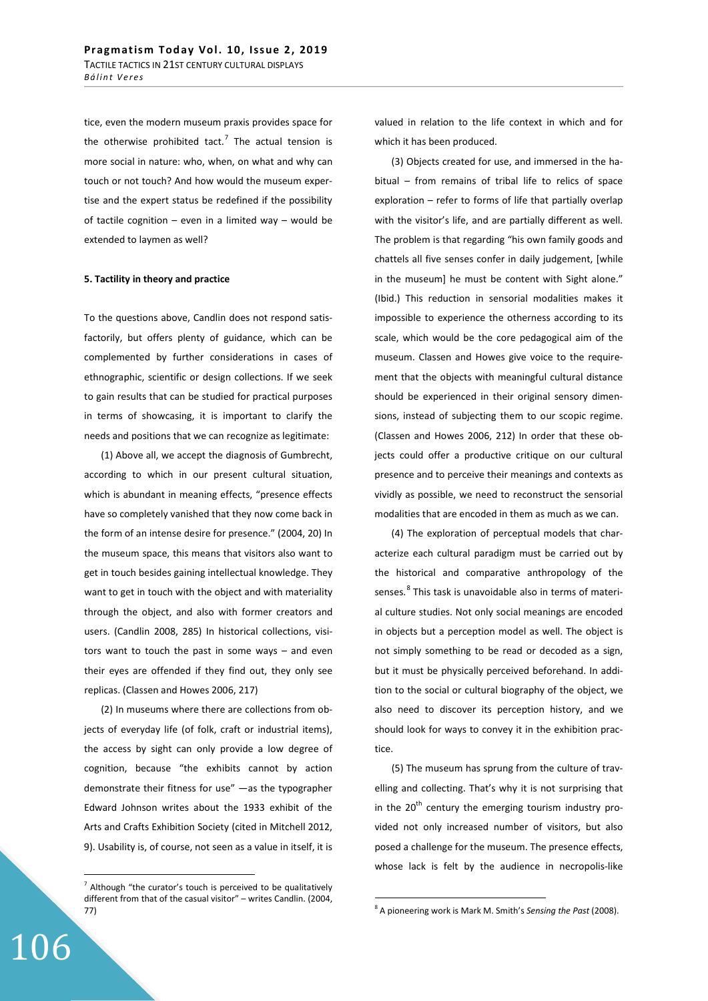tice, even the modern museum praxis provides space for the otherwise prohibited tact.<sup>7</sup> The actual tension is more social in nature: who, when, on what and why can touch or not touch? And how would the museum expertise and the expert status be redefined if the possibility of tactile cognition – even in a limited way – would be extended to laymen as well?

#### **5. Tactility in theory and practice**

To the questions above, Candlin does not respond satisfactorily, but offers plenty of guidance, which can be complemented by further considerations in cases of ethnographic, scientific or design collections. If we seek to gain results that can be studied for practical purposes in terms of showcasing, it is important to clarify the needs and positions that we can recognize as legitimate:

(1) Above all, we accept the diagnosis of Gumbrecht, according to which in our present cultural situation, which is abundant in meaning effects, "presence effects have so completely vanished that they now come back in the form of an intense desire for presence." (2004, 20) In the museum space, this means that visitors also want to get in touch besides gaining intellectual knowledge. They want to get in touch with the object and with materiality through the object, and also with former creators and users. (Candlin 2008, 285) In historical collections, visitors want to touch the past in some ways – and even their eyes are offended if they find out, they only see replicas. (Classen and Howes 2006, 217)

(2) In museums where there are collections from objects of everyday life (of folk, craft or industrial items), the access by sight can only provide a low degree of cognition, because "the exhibits cannot by action demonstrate their fitness for use" —as the typographer Edward Johnson writes about the 1933 exhibit of the Arts and Crafts Exhibition Society (cited in Mitchell 2012, 9). Usability is, of course, not seen as a value in itself, it is

106

valued in relation to the life context in which and for which it has been produced.

(3) Objects created for use, and immersed in the habitual – from remains of tribal life to relics of space exploration – refer to forms of life that partially overlap with the visitor's life, and are partially different as well. The problem is that regarding "his own family goods and chattels all five senses confer in daily judgement, [while in the museum] he must be content with Sight alone." (Ibid.) This reduction in sensorial modalities makes it impossible to experience the otherness according to its scale, which would be the core pedagogical aim of the museum. Classen and Howes give voice to the requirement that the objects with meaningful cultural distance should be experienced in their original sensory dimensions, instead of subjecting them to our scopic regime. (Classen and Howes 2006, 212) In order that these objects could offer a productive critique on our cultural presence and to perceive their meanings and contexts as vividly as possible, we need to reconstruct the sensorial modalities that are encoded in them as much as we can.

(4) The exploration of perceptual models that characterize each cultural paradigm must be carried out by the historical and comparative anthropology of the senses.<sup>8</sup> This task is unavoidable also in terms of material culture studies. Not only social meanings are encoded in objects but a perception model as well. The object is not simply something to be read or decoded as a sign, but it must be physically perceived beforehand. In addition to the social or cultural biography of the object, we also need to discover its perception history, and we should look for ways to convey it in the exhibition practice.

(5) The museum has sprung from the culture of travelling and collecting. That's why it is not surprising that in the  $20<sup>th</sup>$  century the emerging tourism industry provided not only increased number of visitors, but also posed a challenge for the museum. The presence effects, whose lack is felt by the audience in necropolis-like

 $<sup>7</sup>$  Although "the curator's touch is perceived to be qualitatively</sup> different from that of the casual visitor" – writes Candlin. (2004, 77)

<sup>8</sup> A pioneering work is Mark M. Smith's *Sensing the Past* (2008).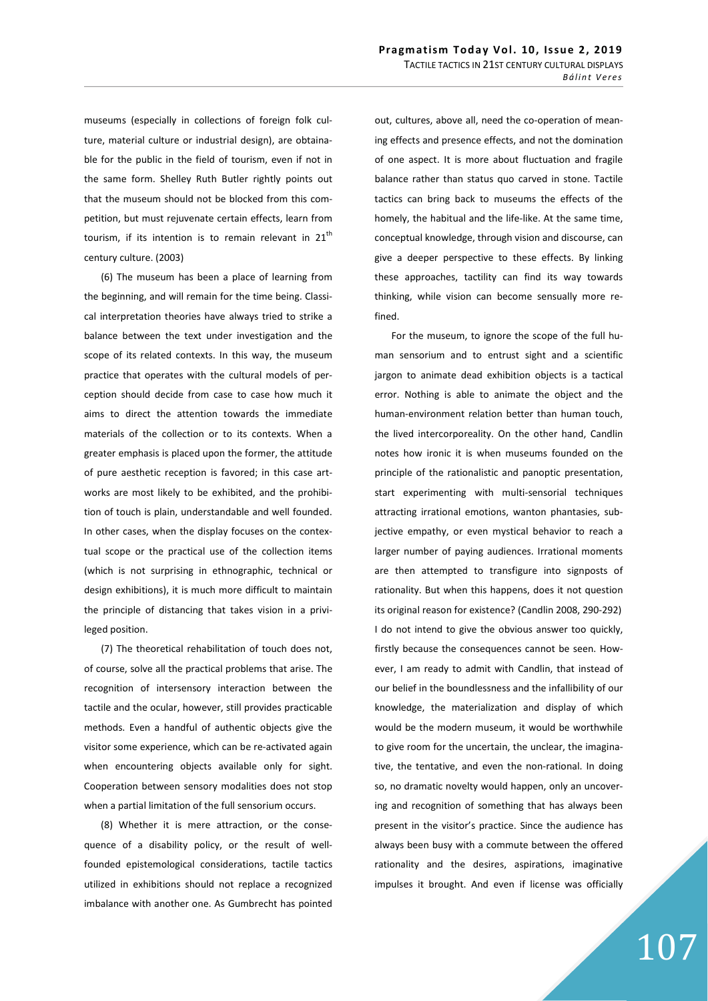museums (especially in collections of foreign folk culture, material culture or industrial design), are obtainable for the public in the field of tourism, even if not in the same form. Shelley Ruth Butler rightly points out that the museum should not be blocked from this competition, but must rejuvenate certain effects, learn from tourism, if its intention is to remain relevant in  $21<sup>th</sup>$ century culture. (2003)

(6) The museum has been a place of learning from the beginning, and will remain for the time being. Classical interpretation theories have always tried to strike a balance between the text under investigation and the scope of its related contexts. In this way, the museum practice that operates with the cultural models of perception should decide from case to case how much it aims to direct the attention towards the immediate materials of the collection or to its contexts. When a greater emphasis is placed upon the former, the attitude of pure aesthetic reception is favored; in this case artworks are most likely to be exhibited, and the prohibition of touch is plain, understandable and well founded. In other cases, when the display focuses on the contextual scope or the practical use of the collection items (which is not surprising in ethnographic, technical or design exhibitions), it is much more difficult to maintain the principle of distancing that takes vision in a privileged position.

(7) The theoretical rehabilitation of touch does not, of course, solve all the practical problems that arise. The recognition of intersensory interaction between the tactile and the ocular, however, still provides practicable methods. Even a handful of authentic objects give the visitor some experience, which can be re-activated again when encountering objects available only for sight. Cooperation between sensory modalities does not stop when a partial limitation of the full sensorium occurs.

(8) Whether it is mere attraction, or the consequence of a disability policy, or the result of wellfounded epistemological considerations, tactile tactics utilized in exhibitions should not replace a recognized imbalance with another one. As Gumbrecht has pointed

out, cultures, above all, need the co-operation of meaning effects and presence effects, and not the domination of one aspect. It is more about fluctuation and fragile balance rather than status quo carved in stone. Tactile tactics can bring back to museums the effects of the homely, the habitual and the life-like. At the same time, conceptual knowledge, through vision and discourse, can give a deeper perspective to these effects. By linking these approaches, tactility can find its way towards thinking, while vision can become sensually more refined.

For the museum, to ignore the scope of the full human sensorium and to entrust sight and a scientific jargon to animate dead exhibition objects is a tactical error. Nothing is able to animate the object and the human-environment relation better than human touch, the lived intercorporeality. On the other hand, Candlin notes how ironic it is when museums founded on the principle of the rationalistic and panoptic presentation, start experimenting with multi-sensorial techniques attracting irrational emotions, wanton phantasies, subjective empathy, or even mystical behavior to reach a larger number of paying audiences. Irrational moments are then attempted to transfigure into signposts of rationality. But when this happens, does it not question its original reason for existence? (Candlin 2008, 290-292) I do not intend to give the obvious answer too quickly, firstly because the consequences cannot be seen. However, I am ready to admit with Candlin, that instead of our belief in the boundlessness and the infallibility of our knowledge, the materialization and display of which would be the modern museum, it would be worthwhile to give room for the uncertain, the unclear, the imaginative, the tentative, and even the non-rational. In doing so, no dramatic novelty would happen, only an uncovering and recognition of something that has always been present in the visitor's practice. Since the audience has always been busy with a commute between the offered rationality and the desires, aspirations, imaginative impulses it brought. And even if license was officially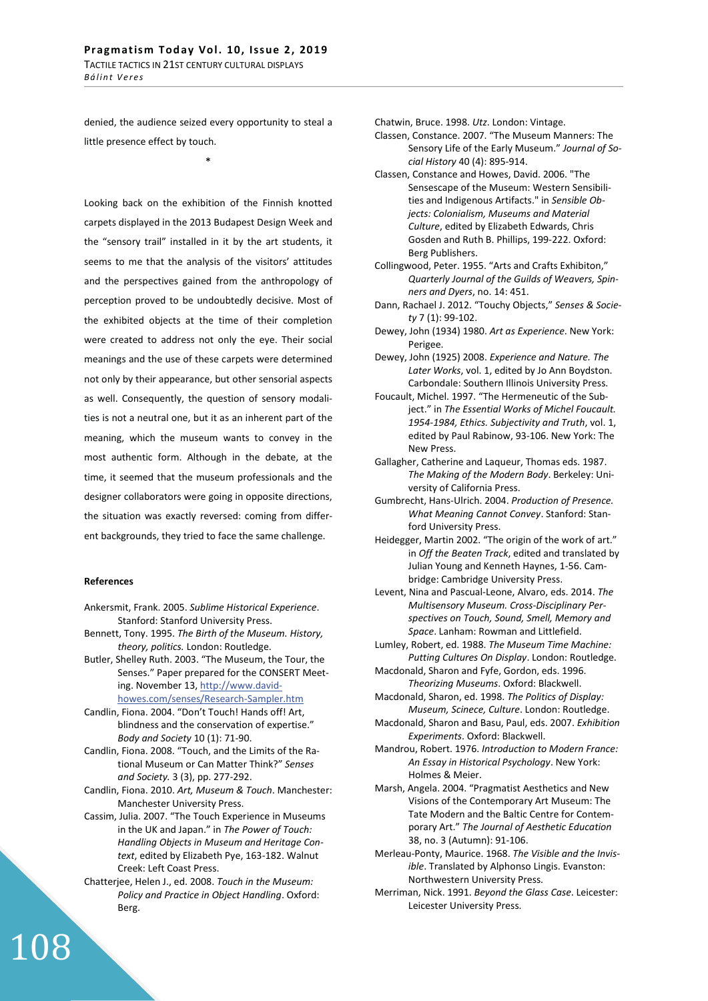denied, the audience seized every opportunity to steal a little presence effect by touch.

\*

Looking back on the exhibition of the Finnish knotted carpets displayed in the 2013 Budapest Design Week and the "sensory trail" installed in it by the art students, it seems to me that the analysis of the visitors' attitudes and the perspectives gained from the anthropology of perception proved to be undoubtedly decisive. Most of the exhibited objects at the time of their completion were created to address not only the eye. Their social meanings and the use of these carpets were determined not only by their appearance, but other sensorial aspects as well. Consequently, the question of sensory modalities is not a neutral one, but it as an inherent part of the meaning, which the museum wants to convey in the most authentic form. Although in the debate, at the time, it seemed that the museum professionals and the designer collaborators were going in opposite directions, the situation was exactly reversed: coming from different backgrounds, they tried to face the same challenge.

### **References**

108

Ankersmit, Frank. 2005. *Sublime Historical Experience*. Stanford: Stanford University Press.

- Bennett, Tony. 1995. *The Birth of the Museum. History, theory, politics.* London: Routledge.
- Butler, Shelley Ruth. 2003. "The Museum, the Tour, the Senses." Paper prepared for the CONSERT Meeting. November 13, http://www.davidhowes.com/senses/Research-Sampler.htm
- Candlin, Fiona. 2004. "Don't Touch! Hands off! Art, blindness and the conservation of expertise." *Body and Society* 10 (1): 71-90.
- Candlin, Fiona. 2008. "Touch, and the Limits of the Rational Museum or Can Matter Think?" *Senses and Society.* 3 (3), pp. 277-292.
- Candlin, Fiona. 2010. *Art, Museum & Touch*. Manchester: Manchester University Press.
- Cassim, Julia. 2007. "The Touch Experience in Museums in the UK and Japan." in *The Power of Touch: Handling Objects in Museum and Heritage Context*, edited by Elizabeth Pye, 163-182. Walnut Creek: Left Coast Press.
- Chatterjee, Helen J., ed. 2008. *Touch in the Museum: Policy and Practice in Object Handling*. Oxford: Berg.

Chatwin, Bruce. 1998. *Utz*. London: Vintage.

- Classen, Constance. 2007. "The Museum Manners: The Sensory Life of the Early Museum." *Journal of Social History* 40 (4): 895-914.
- Classen, Constance and Howes, David. 2006. "The Sensescape of the Museum: Western Sensibilities and Indigenous Artifacts." in *Sensible Objects: Colonialism, Museums and Material Culture*, edited by Elizabeth Edwards, Chris Gosden and Ruth B. Phillips, 199-222. Oxford: Berg Publishers.
- Collingwood, Peter. 1955. "Arts and Crafts Exhibiton," *Quarterly Journal of the Guilds of Weavers, Spinners and Dyers*, no. 14: 451.
- Dann, Rachael J. 2012. "Touchy Objects," *Senses & Society* 7 (1): 99-102.
- Dewey, John (1934) 1980. *Art as Experience*. New York: Perigee.
- Dewey, John (1925) 2008. *Experience and Nature. The Later Works*, vol. 1, edited by Jo Ann Boydston. Carbondale: Southern Illinois University Press.
- Foucault, Michel. 1997. "The Hermeneutic of the Subject." in *The Essential Works of Michel Foucault. 1954-1984, Ethics. Subjectivity and Truth*, vol. 1, edited by Paul Rabinow, 93-106. New York: The New Press.
- Gallagher, Catherine and Laqueur, Thomas eds. 1987. *The Making of the Modern Body*. Berkeley: University of California Press.
- Gumbrecht, Hans-Ulrich. 2004. *Production of Presence. What Meaning Cannot Convey*. Stanford: Stanford University Press.
- Heidegger, Martin 2002. "The origin of the work of art." in *Off the Beaten Track*, edited and translated by Julian Young and Kenneth Haynes, 1-56. Cambridge: Cambridge University Press.
- Levent, Nina and Pascual-Leone, Alvaro, eds. 2014. *The Multisensory Museum. Cross-Disciplinary Perspectives on Touch, Sound, Smell, Memory and Space*. Lanham: Rowman and Littlefield.
- Lumley, Robert, ed. 1988. *The Museum Time Machine: Putting Cultures On Display*. London: Routledge.
- Macdonald, Sharon and Fyfe, Gordon, eds. 1996. *Theorizing Museums*. Oxford: Blackwell.
- Macdonald, Sharon, ed. 1998. *The Politics of Display: Museum, Scinece, Culture*. London: Routledge.
- Macdonald, Sharon and Basu, Paul, eds. 2007. *Exhibition Experiments*. Oxford: Blackwell.
- Mandrou, Robert. 1976. *Introduction to Modern France: An Essay in Historical Psychology*. New York: Holmes & Meier.
- Marsh, Angela. 2004. "Pragmatist Aesthetics and New Visions of the Contemporary Art Museum: The Tate Modern and the Baltic Centre for Contemporary Art." *The Journal of Aesthetic Education* 38, no. 3 (Autumn): 91-106.
- Merleau-Ponty, Maurice. 1968. *The Visible and the Invisible*. Translated by Alphonso Lingis. Evanston: Northwestern University Press.
- Merriman, Nick. 1991. *Beyond the Glass Case*. Leicester: Leicester University Press.